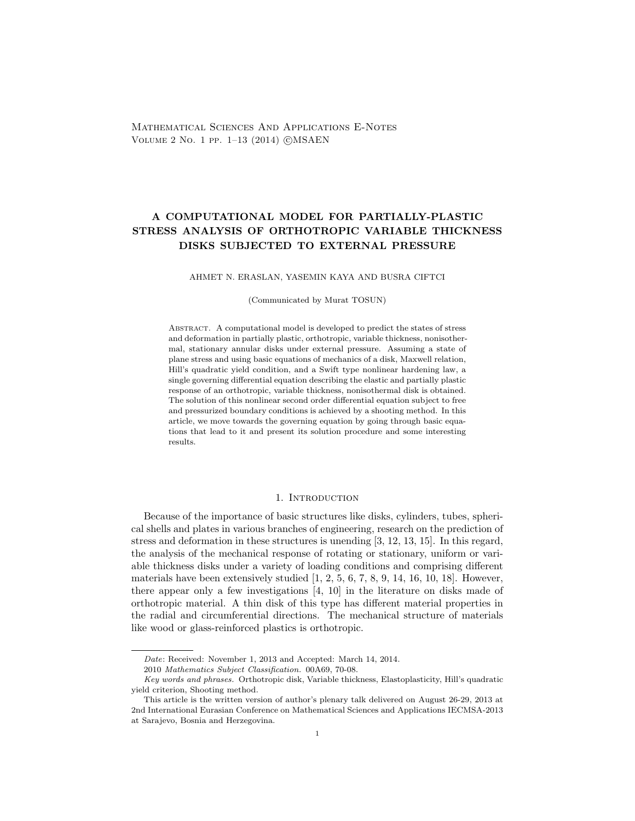Mathematical Sciences And Applications E-Notes VOLUME 2 NO. 1 PP. 1-13 (2014) CMSAEN

# A COMPUTATIONAL MODEL FOR PARTIALLY-PLASTIC STRESS ANALYSIS OF ORTHOTROPIC VARIABLE THICKNESS DISKS SUBJECTED TO EXTERNAL PRESSURE

### AHMET N. ERASLAN, YASEMIN KAYA AND BUSRA CIFTCI

(Communicated by Murat TOSUN)

Abstract. A computational model is developed to predict the states of stress and deformation in partially plastic, orthotropic, variable thickness, nonisothermal, stationary annular disks under external pressure. Assuming a state of plane stress and using basic equations of mechanics of a disk, Maxwell relation, Hill's quadratic yield condition, and a Swift type nonlinear hardening law, a single governing differential equation describing the elastic and partially plastic response of an orthotropic, variable thickness, nonisothermal disk is obtained. The solution of this nonlinear second order differential equation subject to free and pressurized boundary conditions is achieved by a shooting method. In this article, we move towards the governing equation by going through basic equations that lead to it and present its solution procedure and some interesting results.

# 1. INTRODUCTION

Because of the importance of basic structures like disks, cylinders, tubes, spherical shells and plates in various branches of engineering, research on the prediction of stress and deformation in these structures is unending [3, 12, 13, 15]. In this regard, the analysis of the mechanical response of rotating or stationary, uniform or variable thickness disks under a variety of loading conditions and comprising different materials have been extensively studied  $[1, 2, 5, 6, 7, 8, 9, 14, 16, 10, 18]$ . However, there appear only a few investigations [4, 10] in the literature on disks made of orthotropic material. A thin disk of this type has different material properties in the radial and circumferential directions. The mechanical structure of materials like wood or glass-reinforced plastics is orthotropic.

Date: Received: November 1, 2013 and Accepted: March 14, 2014.

<sup>2010</sup> Mathematics Subject Classification. 00A69, 70-08.

Key words and phrases. Orthotropic disk, Variable thickness, Elastoplasticity, Hill's quadratic yield criterion, Shooting method.

This article is the written version of author's plenary talk delivered on August 26-29, 2013 at 2nd International Eurasian Conference on Mathematical Sciences and Applications IECMSA-2013 at Sarajevo, Bosnia and Herzegovina.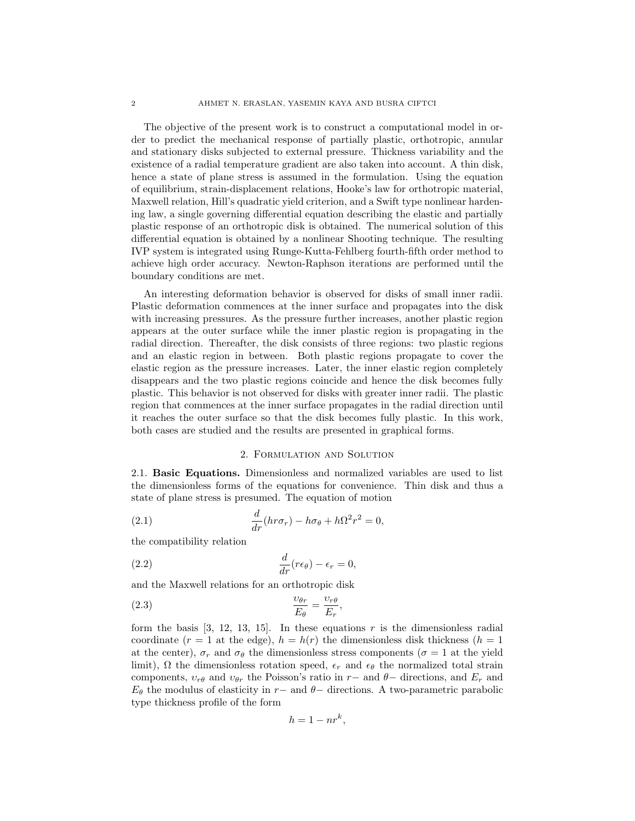The objective of the present work is to construct a computational model in order to predict the mechanical response of partially plastic, orthotropic, annular and stationary disks subjected to external pressure. Thickness variability and the existence of a radial temperature gradient are also taken into account. A thin disk, hence a state of plane stress is assumed in the formulation. Using the equation of equilibrium, strain-displacement relations, Hooke's law for orthotropic material, Maxwell relation, Hill's quadratic yield criterion, and a Swift type nonlinear hardening law, a single governing differential equation describing the elastic and partially plastic response of an orthotropic disk is obtained. The numerical solution of this differential equation is obtained by a nonlinear Shooting technique. The resulting IVP system is integrated using Runge-Kutta-Fehlberg fourth-fifth order method to achieve high order accuracy. Newton-Raphson iterations are performed until the boundary conditions are met.

An interesting deformation behavior is observed for disks of small inner radii. Plastic deformation commences at the inner surface and propagates into the disk with increasing pressures. As the pressure further increases, another plastic region appears at the outer surface while the inner plastic region is propagating in the radial direction. Thereafter, the disk consists of three regions: two plastic regions and an elastic region in between. Both plastic regions propagate to cover the elastic region as the pressure increases. Later, the inner elastic region completely disappears and the two plastic regions coincide and hence the disk becomes fully plastic. This behavior is not observed for disks with greater inner radii. The plastic region that commences at the inner surface propagates in the radial direction until it reaches the outer surface so that the disk becomes fully plastic. In this work, both cases are studied and the results are presented in graphical forms.

# 2. Formulation and Solution

2.1. Basic Equations. Dimensionless and normalized variables are used to list the dimensionless forms of the equations for convenience. Thin disk and thus a state of plane stress is presumed. The equation of motion

(2.1) 
$$
\frac{d}{dr}(hr\sigma_r) - h\sigma_\theta + h\Omega^2 r^2 = 0,
$$

the compatibility relation

(2.2) 
$$
\frac{d}{dr}(r\epsilon_{\theta}) - \epsilon_r = 0,
$$

and the Maxwell relations for an orthotropic disk

$$
\frac{\upsilon_{\theta r}}{E_{\theta}} = \frac{\upsilon_{r\theta}}{E_r},
$$

form the basis  $[3, 12, 13, 15]$ . In these equations r is the dimensionless radial coordinate ( $r = 1$  at the edge),  $h = h(r)$  the dimensionless disk thickness ( $h = 1$ ) at the center),  $\sigma_r$  and  $\sigma_\theta$  the dimensionless stress components ( $\sigma = 1$  at the yield limit),  $\Omega$  the dimensionless rotation speed,  $\epsilon_r$  and  $\epsilon_\theta$  the normalized total strain components,  $v_{r\theta}$  and  $v_{\theta r}$  the Poisson's ratio in r− and  $\theta$ − directions, and  $E_r$  and  $E_{\theta}$  the modulus of elasticity in r− and  $\theta$ − directions. A two-parametric parabolic type thickness profile of the form

$$
h = 1 - nr^k,
$$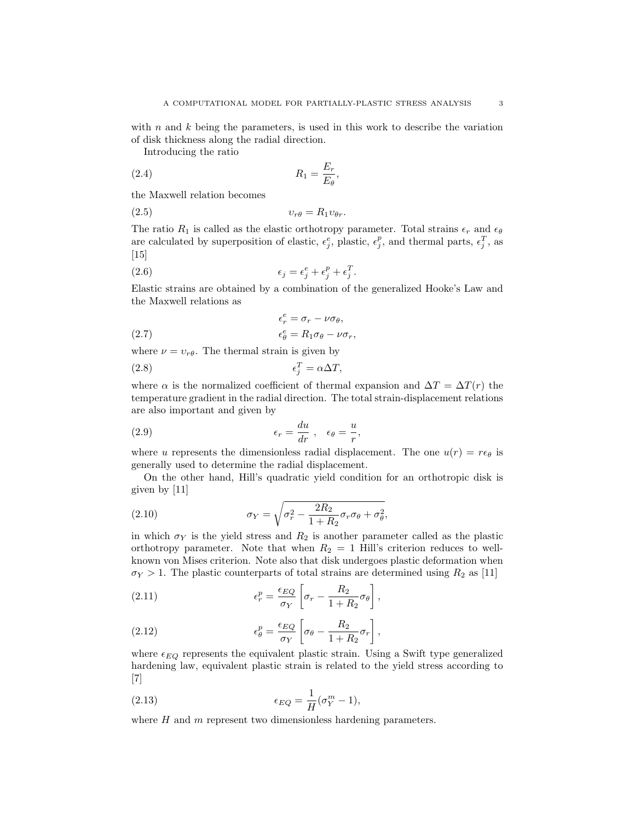with n and  $k$  being the parameters, is used in this work to describe the variation of disk thickness along the radial direction.

Introducing the ratio

$$
R_1 = \frac{E_r}{E_\theta},
$$

the Maxwell relation becomes

$$
(2.5) \t\t vrθ = R1vθr.
$$

The ratio  $R_1$  is called as the elastic orthotropy parameter. Total strains  $\epsilon_r$  and  $\epsilon_\theta$ are calculated by superposition of elastic,  $\epsilon_j^e$ , plastic,  $\epsilon_j^p$ , and thermal parts,  $\epsilon_j^T$ , as  $[15]$ 

(2.6) 
$$
\epsilon_j = \epsilon_j^e + \epsilon_j^p + \epsilon_j^T.
$$

Elastic strains are obtained by a combination of the generalized Hooke's Law and the Maxwell relations as

(2.7) 
$$
\epsilon_r^e = \sigma_r - \nu \sigma_\theta,
$$

$$
\epsilon_\theta^e = R_1 \sigma_\theta - \nu \sigma_r,
$$

where  $\nu = v_{r\theta}$ . The thermal strain is given by

$$
\epsilon_j^T = \alpha \Delta T,
$$

where  $\alpha$  is the normalized coefficient of thermal expansion and  $\Delta T = \Delta T(r)$  the temperature gradient in the radial direction. The total strain-displacement relations are also important and given by

(2.9) 
$$
\epsilon_r = \frac{du}{dr}, \quad \epsilon_\theta = \frac{u}{r},
$$

where u represents the dimensionless radial displacement. The one  $u(r) = r\epsilon_{\theta}$  is generally used to determine the radial displacement.

On the other hand, Hill's quadratic yield condition for an orthotropic disk is given by [11]

(2.10) 
$$
\sigma_Y = \sqrt{\sigma_r^2 - \frac{2R_2}{1 + R_2} \sigma_r \sigma_\theta + \sigma_\theta^2},
$$

in which  $\sigma_Y$  is the yield stress and  $R_2$  is another parameter called as the plastic orthotropy parameter. Note that when  $R_2 = 1$  Hill's criterion reduces to wellknown von Mises criterion. Note also that disk undergoes plastic deformation when  $\sigma_Y > 1$ . The plastic counterparts of total strains are determined using  $R_2$  as [11]

(2.11) 
$$
\epsilon_r^p = \frac{\epsilon_{EQ}}{\sigma_Y} \left[ \sigma_r - \frac{R_2}{1 + R_2} \sigma_\theta \right],
$$

(2.12) 
$$
\epsilon_{\theta}^{p} = \frac{\epsilon_{EQ}}{\sigma_Y} \left[ \sigma_{\theta} - \frac{R_2}{1 + R_2} \sigma_r \right],
$$

where  $\epsilon_{EQ}$  represents the equivalent plastic strain. Using a Swift type generalized hardening law, equivalent plastic strain is related to the yield stress according to [7]

(2.13) 
$$
\epsilon_{EQ} = \frac{1}{H}(\sigma_Y^m - 1),
$$

where  $H$  and  $m$  represent two dimensionless hardening parameters.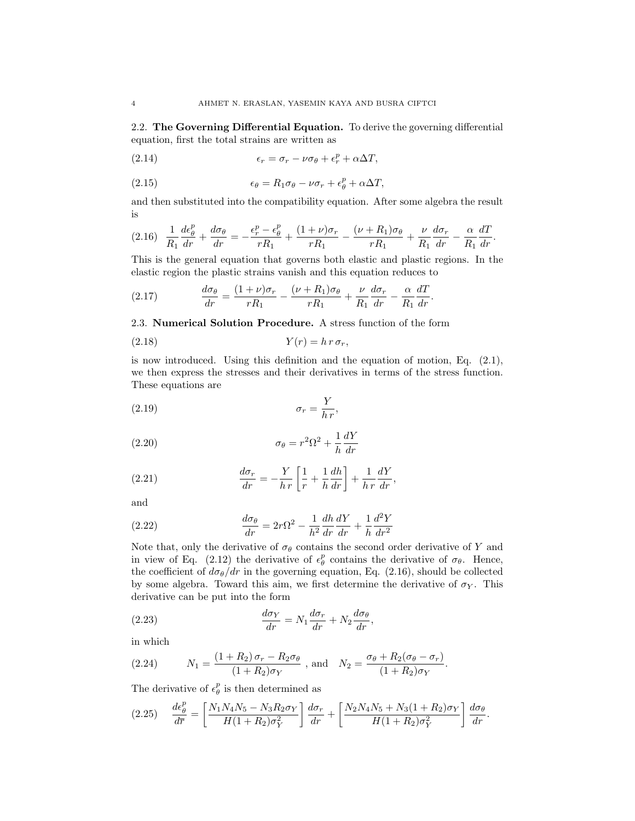2.2. The Governing Differential Equation. To derive the governing differential equation, first the total strains are written as

(2.14) 
$$
\epsilon_r = \sigma_r - \nu \sigma_\theta + \epsilon_r^p + \alpha \Delta T,
$$

(2.15) 
$$
\epsilon_{\theta} = R_1 \sigma_{\theta} - \nu \sigma_r + \epsilon_{\theta}^p + \alpha \Delta T,
$$

and then substituted into the compatibility equation. After some algebra the result is

$$
(2.16)\quad \frac{1}{R_1}\frac{d\epsilon_\theta^p}{dr} + \frac{d\sigma_\theta}{dr} = -\frac{\epsilon_r^p - \epsilon_\theta^p}{rR_1} + \frac{(1+\nu)\sigma_r}{rR_1} - \frac{(\nu + R_1)\sigma_\theta}{rR_1} + \frac{\nu}{R_1}\frac{d\sigma_r}{dr} - \frac{\alpha}{R_1}\frac{dT}{dr}.
$$

This is the general equation that governs both elastic and plastic regions. In the elastic region the plastic strains vanish and this equation reduces to

(2.17) 
$$
\frac{d\sigma_{\theta}}{dr} = \frac{(1+\nu)\sigma_r}{rR_1} - \frac{(\nu+R_1)\sigma_{\theta}}{rR_1} + \frac{\nu}{R_1}\frac{d\sigma_r}{dr} - \frac{\alpha}{R_1}\frac{dT}{dr}.
$$

2.3. Numerical Solution Procedure. A stress function of the form

$$
(2.18) \t\t Y(r) = h r \sigma_r,
$$

is now introduced. Using this definition and the equation of motion, Eq. (2.1), we then express the stresses and their derivatives in terms of the stress function. These equations are

$$
\sigma_r = \frac{Y}{h\,r},
$$

(2.20) 
$$
\sigma_{\theta} = r^2 \Omega^2 + \frac{1}{h} \frac{dY}{dr}
$$

(2.21) 
$$
\frac{d\sigma_r}{dr} = -\frac{Y}{h r} \left[ \frac{1}{r} + \frac{1}{h} \frac{dh}{dr} \right] + \frac{1}{h r} \frac{dY}{dr},
$$

and

(2.22) 
$$
\frac{d\sigma_{\theta}}{dr} = 2r\Omega^2 - \frac{1}{h^2}\frac{dh}{dr}\frac{dY}{dr} + \frac{1}{h}\frac{d^2Y}{dr^2}
$$

Note that, only the derivative of  $\sigma_{\theta}$  contains the second order derivative of Y and in view of Eq. (2.12) the derivative of  $\epsilon_{\theta}^{p}$  contains the derivative of  $\sigma_{\theta}$ . Hence, the coefficient of  $d\sigma_{\theta}/dr$  in the governing equation, Eq. (2.16), should be collected by some algebra. Toward this aim, we first determine the derivative of  $\sigma_Y$ . This derivative can be put into the form

(2.23) 
$$
\frac{d\sigma_Y}{dr} = N_1 \frac{d\sigma_r}{dr} + N_2 \frac{d\sigma_\theta}{dr},
$$

in which

(2.24) 
$$
N_1 = \frac{(1+R_2)\sigma_r - R_2\sigma_\theta}{(1+R_2)\sigma_Y}
$$
, and  $N_2 = \frac{\sigma_\theta + R_2(\sigma_\theta - \sigma_r)}{(1+R_2)\sigma_Y}$ .

The derivative of  $\epsilon_{\theta}^p$  is then determined as

$$
(2.25) \quad \frac{d\epsilon_{\theta}^{p}}{d\overline{r}} = \left[ \frac{N_{1}N_{4}N_{5} - N_{3}R_{2}\sigma_{Y}}{H(1+R_{2})\sigma_{Y}^{2}} \right] \frac{d\sigma_{r}}{dr} + \left[ \frac{N_{2}N_{4}N_{5} + N_{3}(1+R_{2})\sigma_{Y}}{H(1+R_{2})\sigma_{Y}^{2}} \right] \frac{d\sigma_{\theta}}{dr}.
$$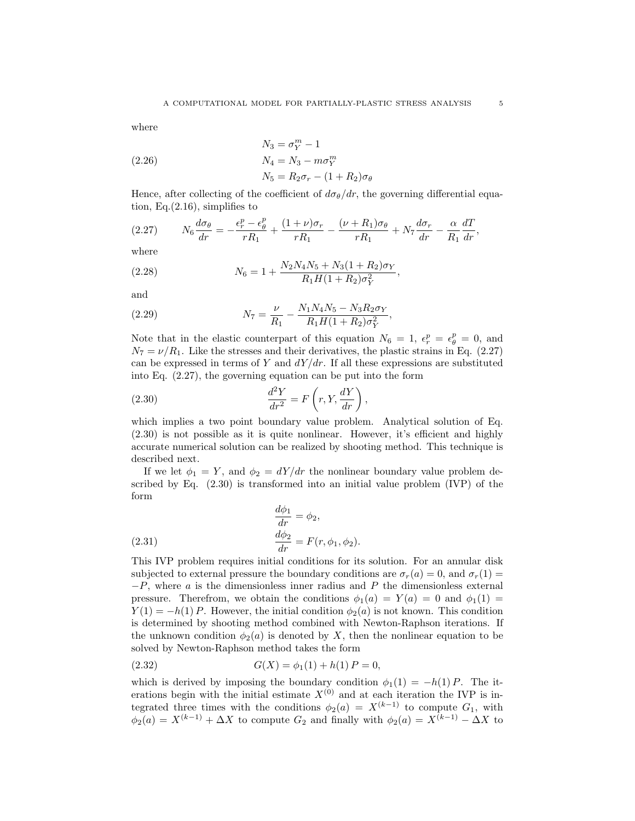where

(2.26)  
\n
$$
N_3 = \sigma_Y^m - 1
$$
\n
$$
N_4 = N_3 - m\sigma_Y^m
$$
\n
$$
N_5 = R_2\sigma_r - (1 + R_2)\sigma_\theta
$$

Hence, after collecting of the coefficient of  $d\sigma_{\theta}/dr$ , the governing differential equation, Eq.(2.16), simplifies to

$$
(2.27) \t\t N_6 \frac{d\sigma_\theta}{dr} = -\frac{\epsilon_r^p - \epsilon_\theta^p}{rR_1} + \frac{(1+\nu)\sigma_r}{rR_1} - \frac{(\nu + R_1)\sigma_\theta}{rR_1} + N_7 \frac{d\sigma_r}{dr} - \frac{\alpha}{R_1} \frac{dT}{dr},
$$

where

(2.28) 
$$
N_6 = 1 + \frac{N_2 N_4 N_5 + N_3 (1 + R_2) \sigma_Y}{R_1 H (1 + R_2) \sigma_Y^2},
$$

and

(2.29) 
$$
N_7 = \frac{\nu}{R_1} - \frac{N_1 N_4 N_5 - N_3 R_2 \sigma_Y}{R_1 H (1 + R_2) \sigma_Y^2},
$$

Note that in the elastic counterpart of this equation  $N_6 = 1$ ,  $\epsilon_r^p = \epsilon_\theta^p = 0$ , and  $N_7 = \nu/R_1$ . Like the stresses and their derivatives, the plastic strains in Eq. (2.27) can be expressed in terms of Y and  $dY/dr$ . If all these expressions are substituted into Eq. (2.27), the governing equation can be put into the form

(2.30) 
$$
\frac{d^2Y}{dr^2} = F\left(r, Y, \frac{dY}{dr}\right),
$$

which implies a two point boundary value problem. Analytical solution of Eq. (2.30) is not possible as it is quite nonlinear. However, it's efficient and highly accurate numerical solution can be realized by shooting method. This technique is described next.

If we let  $\phi_1 = Y$ , and  $\phi_2 = dY/dr$  the nonlinear boundary value problem described by Eq. (2.30) is transformed into an initial value problem (IVP) of the form  $\overline{1}$ 

(2.31) 
$$
\begin{aligned}\n\frac{d\phi_1}{dr} &= \phi_2, \\
\frac{d\phi_2}{dr} &= F(r, \phi_1, \phi_2).\n\end{aligned}
$$

This IVP problem requires initial conditions for its solution. For an annular disk subjected to external pressure the boundary conditions are  $\sigma_r(a) = 0$ , and  $\sigma_r(1) =$  $-P$ , where a is the dimensionless inner radius and P the dimensionless external pressure. Therefrom, we obtain the conditions  $\phi_1(a) = Y(a) = 0$  and  $\phi_1(1) =$  $Y(1) = -h(1)P$ . However, the initial condition  $\phi_2(a)$  is not known. This condition is determined by shooting method combined with Newton-Raphson iterations. If the unknown condition  $\phi_2(a)$  is denoted by X, then the nonlinear equation to be solved by Newton-Raphson method takes the form

(2.32) 
$$
G(X) = \phi_1(1) + h(1) P = 0,
$$

which is derived by imposing the boundary condition  $\phi_1(1) = -h(1)P$ . The iterations begin with the initial estimate  $X^{(0)}$  and at each iteration the IVP is integrated three times with the conditions  $\phi_2(a) = X^{(k-1)}$  to compute  $G_1$ , with  $\phi_2(a) = X^{(k-1)} + \Delta X$  to compute  $G_2$  and finally with  $\phi_2(a) = X^{(k-1)} - \Delta X$  to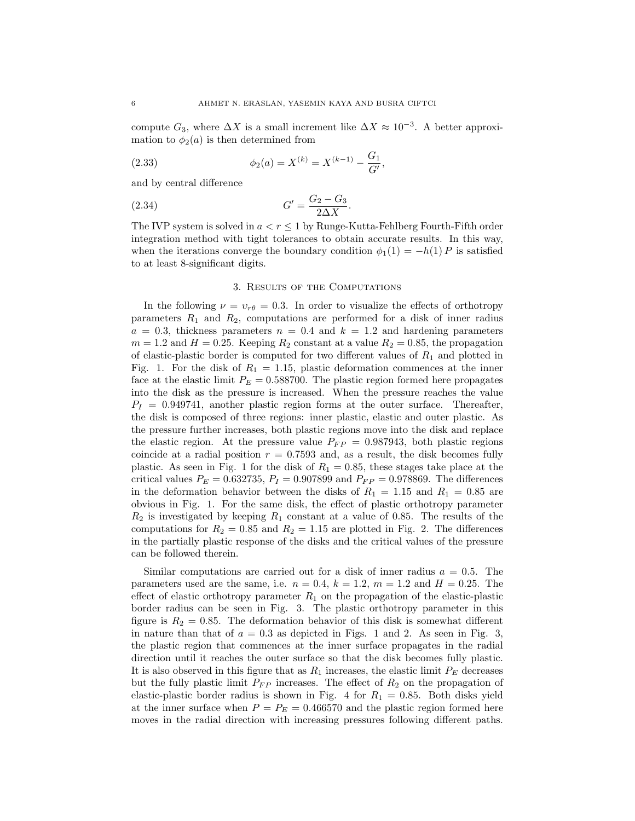compute  $G_3$ , where  $\Delta X$  is a small increment like  $\Delta X \approx 10^{-3}$ . A better approximation to  $\phi_2(a)$  is then determined from

(2.33) 
$$
\phi_2(a) = X^{(k)} = X^{(k-1)} - \frac{G_1}{G'},
$$

and by central difference

(2.34) 
$$
G' = \frac{G_2 - G_3}{2\Delta X}.
$$

The IVP system is solved in  $a < r \leq 1$  by Runge-Kutta-Fehlberg Fourth-Fifth order integration method with tight tolerances to obtain accurate results. In this way, when the iterations converge the boundary condition  $\phi_1(1) = -h(1) P$  is satisfied to at least 8-significant digits.

## 3. Results of the Computations

In the following  $\nu = v_{r\theta} = 0.3$ . In order to visualize the effects of orthotropy parameters  $R_1$  and  $R_2$ , computations are performed for a disk of inner radius  $a = 0.3$ , thickness parameters  $n = 0.4$  and  $k = 1.2$  and hardening parameters  $m = 1.2$  and  $H = 0.25$ . Keeping  $R_2$  constant at a value  $R_2 = 0.85$ , the propagation of elastic-plastic border is computed for two different values of  $R_1$  and plotted in Fig. 1. For the disk of  $R_1 = 1.15$ , plastic deformation commences at the inner face at the elastic limit  $P_E = 0.588700$ . The plastic region formed here propagates into the disk as the pressure is increased. When the pressure reaches the value  $P_I = 0.949741$ , another plastic region forms at the outer surface. Thereafter, the disk is composed of three regions: inner plastic, elastic and outer plastic. As the pressure further increases, both plastic regions move into the disk and replace the elastic region. At the pressure value  $P_{FP} = 0.987943$ , both plastic regions coincide at a radial position  $r = 0.7593$  and, as a result, the disk becomes fully plastic. As seen in Fig. 1 for the disk of  $R_1 = 0.85$ , these stages take place at the critical values  $P_E = 0.632735$ ,  $P_I = 0.907899$  and  $P_{FP} = 0.978869$ . The differences in the deformation behavior between the disks of  $R_1 = 1.15$  and  $R_1 = 0.85$  are obvious in Fig. 1. For the same disk, the effect of plastic orthotropy parameter  $R_2$  is investigated by keeping  $R_1$  constant at a value of 0.85. The results of the computations for  $R_2 = 0.85$  and  $R_2 = 1.15$  are plotted in Fig. 2. The differences in the partially plastic response of the disks and the critical values of the pressure can be followed therein.

Similar computations are carried out for a disk of inner radius  $a = 0.5$ . The parameters used are the same, i.e.  $n = 0.4$ ,  $k = 1.2$ ,  $m = 1.2$  and  $H = 0.25$ . The effect of elastic orthotropy parameter  $R_1$  on the propagation of the elastic-plastic border radius can be seen in Fig. 3. The plastic orthotropy parameter in this figure is  $R_2 = 0.85$ . The deformation behavior of this disk is somewhat different in nature than that of  $a = 0.3$  as depicted in Figs. 1 and 2. As seen in Fig. 3, the plastic region that commences at the inner surface propagates in the radial direction until it reaches the outer surface so that the disk becomes fully plastic. It is also observed in this figure that as  $R_1$  increases, the elastic limit  $P_E$  decreases but the fully plastic limit  $P_{FP}$  increases. The effect of  $R_2$  on the propagation of elastic-plastic border radius is shown in Fig. 4 for  $R_1 = 0.85$ . Both disks yield at the inner surface when  $P = P_E = 0.466570$  and the plastic region formed here moves in the radial direction with increasing pressures following different paths.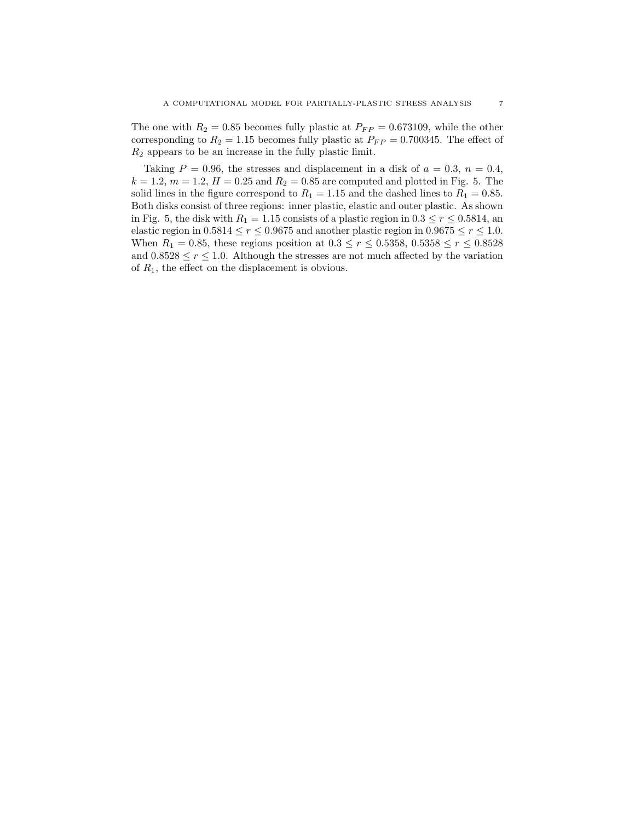The one with  $R_2 = 0.85$  becomes fully plastic at  $P_{FP} = 0.673109$ , while the other corresponding to  $R_2 = 1.15$  becomes fully plastic at  $P_{FP} = 0.700345$ . The effect of  $R_2$  appears to be an increase in the fully plastic limit.

Taking  $P = 0.96$ , the stresses and displacement in a disk of  $a = 0.3$ ,  $n = 0.4$ ,  $k = 1.2, m = 1.2, H = 0.25$  and  $R_2 = 0.85$  are computed and plotted in Fig. 5. The solid lines in the figure correspond to  $R_1 = 1.15$  and the dashed lines to  $R_1 = 0.85$ . Both disks consist of three regions: inner plastic, elastic and outer plastic. As shown in Fig. 5, the disk with  $R_1 = 1.15$  consists of a plastic region in  $0.3 \le r \le 0.5814$ , an elastic region in  $0.5814 \le r \le 0.9675$  and another plastic region in  $0.9675 \le r \le 1.0$ . When  $R_1 = 0.85$ , these regions position at  $0.3 \le r \le 0.5358$ ,  $0.5358 \le r \le 0.8528$ and  $0.8528 \le r \le 1.0$ . Although the stresses are not much affected by the variation of  $R_1$ , the effect on the displacement is obvious.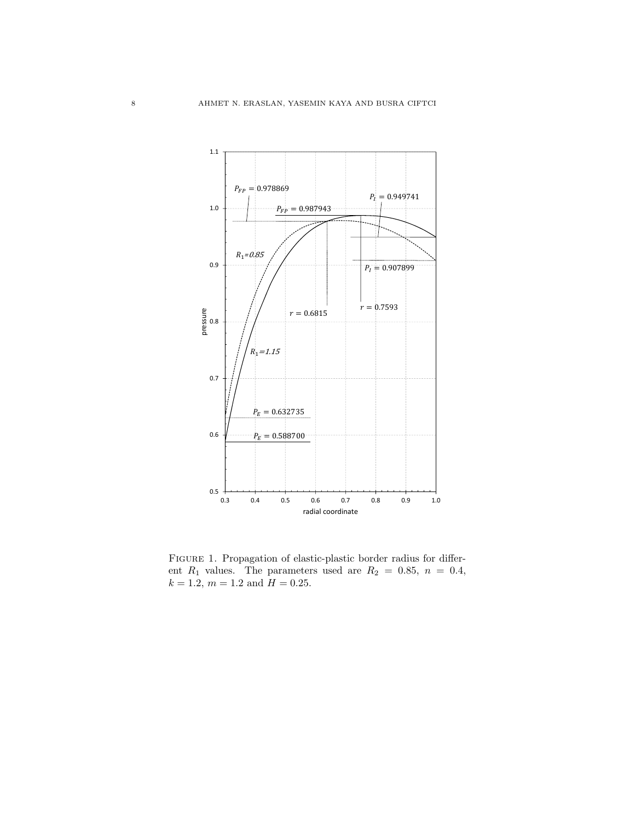

Figure 1. Propagation of elastic-plastic border radius for different  $R_1$  values. The parameters used are  $R_2 = 0.85$ ,  $n = 0.4$ ,  $k = 1.2, m = 1.2 \text{ and } H = 0.25.$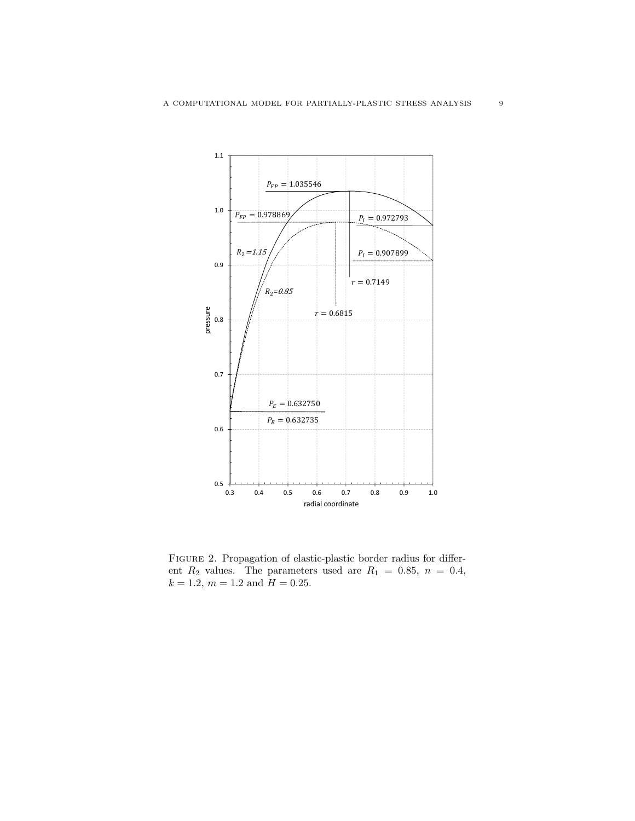

Figure 2. Propagation of elastic-plastic border radius for different  $R_2$  values. The parameters used are  $R_1 = 0.85$ ,  $n = 0.4$ ,  $k = 1.2, m = 1.2 \text{ and } H = 0.25.$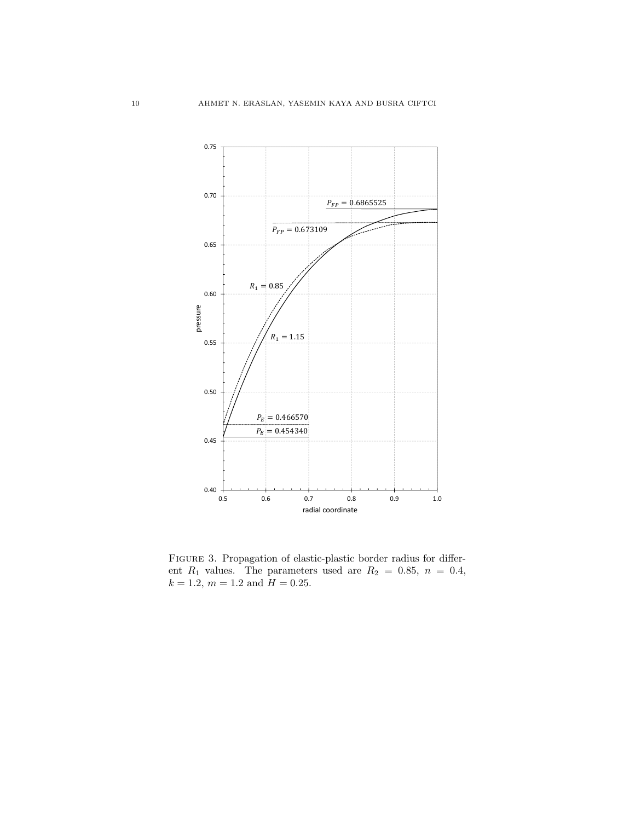

Figure 3. Propagation of elastic-plastic border radius for different  $R_1$  values. The parameters used are  $R_2 = 0.85$ ,  $n = 0.4$ ,  $k = 1.2, m = 1.2 \text{ and } H = 0.25.$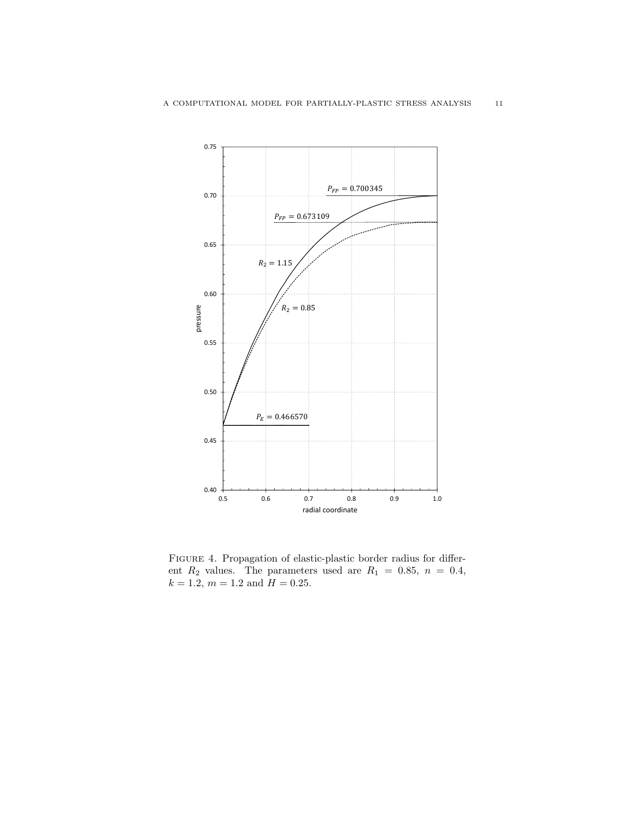

Figure 4. Propagation of elastic-plastic border radius for different  $R_2$  values. The parameters used are  $R_1 = 0.85$ ,  $n = 0.4$ ,  $k = 1.2, m = 1.2 \text{ and } H = 0.25.$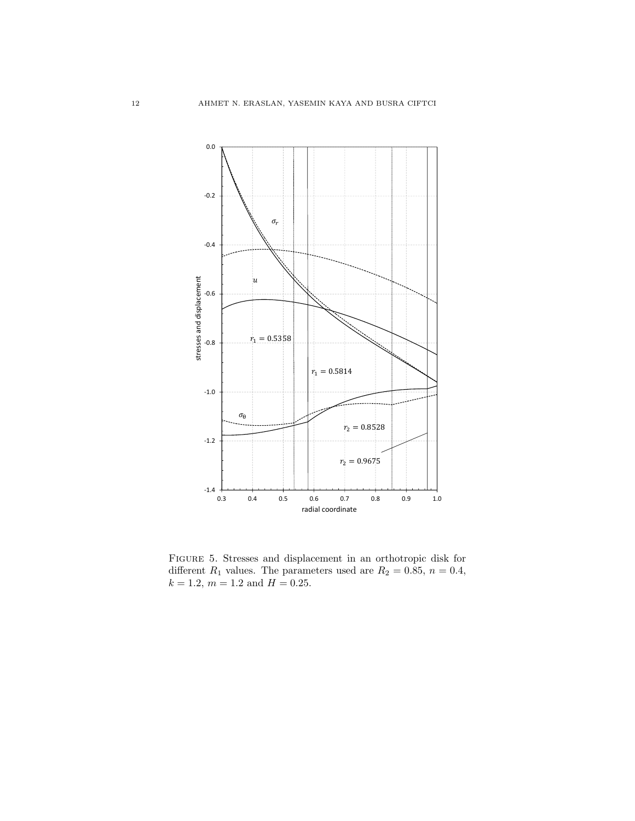

Figure 5. Stresses and displacement in an orthotropic disk for different  $R_1$  values. The parameters used are  $R_2 = 0.85$ ,  $n = 0.4$ ,  $k = 1.2, m = 1.2 \text{ and } H = 0.25.$